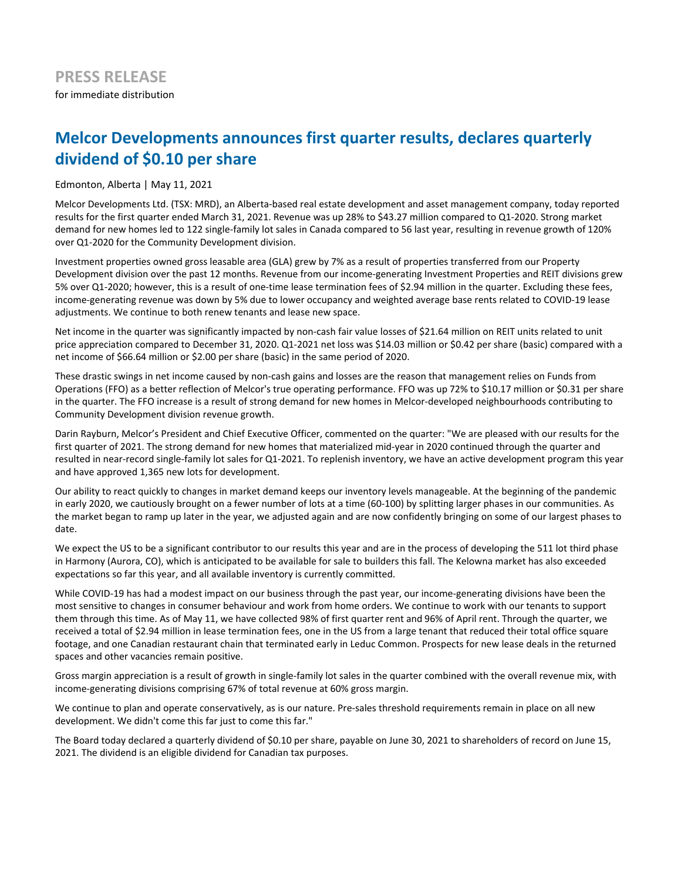# **Melcor Developments announces first quarter results, declares quarterly** dividend of \$0.10 per share

Edmonton, Alberta | May 11, 2021

Melcor Developments Ltd. (TSX: MRD), an Alberta-based real estate development and asset management company, today reported results for the first quarter ended March 31, 2021. Revenue was up 28% to \$43.27 million compared to Q1-2020. Strong market demand for new homes led to 122 single-family lot sales in Canada compared to 56 last year, resulting in revenue growth of 120% over Q1-2020 for the Community Development division.

Investment properties owned gross leasable area (GLA) grew by 7% as a result of properties transferred from our Property Development division over the past 12 months. Revenue from our income-generating Investment Properties and REIT divisions grew 5% over Q1-2020; however, this is a result of one-time lease termination fees of \$2.94 million in the quarter. Excluding these fees, income-generating revenue was down by 5% due to lower occupancy and weighted average base rents related to COVID-19 lease adjustments. We continue to both renew tenants and lease new space.

Net income in the quarter was significantly impacted by non-cash fair value losses of \$21.64 million on REIT units related to unit price appreciation compared to December 31, 2020. Q1-2021 net loss was \$14.03 million or \$0.42 per share (basic) compared with a net income of \$66.64 million or \$2.00 per share (basic) in the same period of 2020.

These drastic swings in net income caused by non-cash gains and losses are the reason that management relies on Funds from Operations (FFO) as a better reflection of Melcor's true operating performance. FFO was up 72% to \$10.17 million or \$0.31 per share in the quarter. The FFO increase is a result of strong demand for new homes in Melcor-developed neighbourhoods contributing to Community Development division revenue growth.

Darin Rayburn, Melcor's President and Chief Executive Officer, commented on the quarter: "We are pleased with our results for the first quarter of 2021. The strong demand for new homes that materialized mid-year in 2020 continued through the quarter and resulted in near-record single-family lot sales for Q1-2021. To replenish inventory, we have an active development program this year and have approved 1,365 new lots for development.

Our ability to react quickly to changes in market demand keeps our inventory levels manageable. At the beginning of the pandemic in early 2020, we cautiously brought on a fewer number of lots at a time (60-100) by splitting larger phases in our communities. As the market began to ramp up later in the year, we adjusted again and are now confidently bringing on some of our largest phases to date.

We expect the US to be a significant contributor to our results this year and are in the process of developing the 511 lot third phase in Harmony (Aurora, CO), which is anticipated to be available for sale to builders this fall. The Kelowna market has also exceeded expectations so far this year, and all available inventory is currently committed.

While COVID-19 has had a modest impact on our business through the past year, our income-generating divisions have been the most sensitive to changes in consumer behaviour and work from home orders. We continue to work with our tenants to support them through this time. As of May 11, we have collected 98% of first quarter rent and 96% of April rent. Through the quarter, we received a total of \$2.94 million in lease termination fees, one in the US from a large tenant that reduced their total office square footage, and one Canadian restaurant chain that terminated early in Leduc Common. Prospects for new lease deals in the returned spaces and other vacancies remain positive.

Gross margin appreciation is a result of growth in single-family lot sales in the quarter combined with the overall revenue mix, with income-generating divisions comprising 67% of total revenue at 60% gross margin.

We continue to plan and operate conservatively, as is our nature. Pre-sales threshold requirements remain in place on all new development. We didn't come this far just to come this far."

The Board today declared a quarterly dividend of \$0.10 per share, payable on June 30, 2021 to shareholders of record on June 15, 2021. The dividend is an eligible dividend for Canadian tax purposes.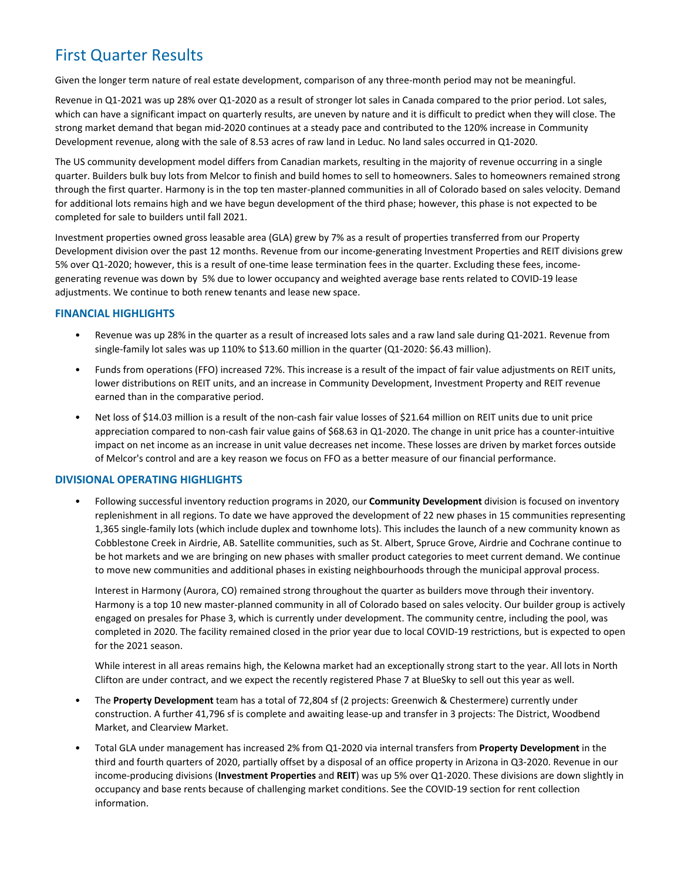## **First Quarter Results**

Given the longer term nature of real estate development, comparison of any three-month period may not be meaningful.

Revenue in Q1-2021 was up 28% over Q1-2020 as a result of stronger lot sales in Canada compared to the prior period. Lot sales, which can have a significant impact on quarterly results, are uneven by nature and it is difficult to predict when they will close. The strong market demand that began mid-2020 continues at a steady pace and contributed to the 120% increase in Community Development revenue, along with the sale of 8.53 acres of raw land in Leduc. No land sales occurred in Q1-2020.

The US community development model differs from Canadian markets, resulting in the majority of revenue occurring in a single quarter. Builders bulk buy lots from Melcor to finish and build homes to sell to homeowners. Sales to homeowners remained strong through the first quarter. Harmony is in the top ten master-planned communities in all of Colorado based on sales velocity. Demand for additional lots remains high and we have begun development of the third phase; however, this phase is not expected to be completed for sale to builders until fall 2021.

Investment properties owned gross leasable area (GLA) grew by 7% as a result of properties transferred from our Property Development division over the past 12 months. Revenue from our income-generating Investment Properties and REIT divisions grew 5% over Q1-2020; however, this is a result of one-time lease termination fees in the quarter. Excluding these fees, incomegenerating revenue was down by 5% due to lower occupancy and weighted average base rents related to COVID-19 lease adjustments. We continue to both renew tenants and lease new space.

## **FINANCIAL HIGHLIGHTS**

- Revenue was up 28% in the quarter as a result of increased lots sales and a raw land sale during Q1-2021. Revenue from single-family lot sales was up 110% to \$13.60 million in the quarter (Q1-2020: \$6.43 million).
- Funds from operations (FFO) increased 72%. This increase is a result of the impact of fair value adjustments on REIT units, lower distributions on REIT units, and an increase in Community Development, Investment Property and REIT revenue earned than in the comparative period.
- Net loss of \$14.03 million is a result of the non-cash fair value losses of \$21.64 million on REIT units due to unit price appreciation compared to non-cash fair value gains of \$68.63 in Q1-2020. The change in unit price has a counter-intuitive impact on net income as an increase in unit value decreases net income. These losses are driven by market forces outside of Melcor's control and are a key reason we focus on FFO as a better measure of our financial performance.

## **DIVISIONAL OPERATING HIGHLIGHTS**

• Following successful inventory reduction programs in 2020, our **Community Development** division is focused on inventory replenishment in all regions. To date we have approved the development of 22 new phases in 15 communities representing 1,365 single-family lots (which include duplex and townhome lots). This includes the launch of a new community known as Cobblestone Creek in Airdrie, AB. Satellite communities, such as St. Albert, Spruce Grove, Airdrie and Cochrane continue to be hot markets and we are bringing on new phases with smaller product categories to meet current demand. We continue to move new communities and additional phases in existing neighbourhoods through the municipal approval process.

Interest in Harmony (Aurora, CO) remained strong throughout the quarter as builders move through their inventory. Harmony is a top 10 new master-planned community in all of Colorado based on sales velocity. Our builder group is actively engaged on presales for Phase 3, which is currently under development. The community centre, including the pool, was completed in 2020. The facility remained closed in the prior year due to local COVID-19 restrictions, but is expected to open for the 2021 season.

While interest in all areas remains high, the Kelowna market had an exceptionally strong start to the year. All lots in North Clifton are under contract, and we expect the recently registered Phase 7 at BlueSky to sell out this year as well.

- The Property Development team has a total of 72,804 sf (2 projects: Greenwich & Chestermere) currently under construction. A further 41,796 sf is complete and awaiting lease-up and transfer in 3 projects: The District, Woodbend Market, and Clearview Market.
- Total GLA under management has increased 2% from Q1-2020 via internal transfers from **Property Development** in the third and fourth quarters of 2020, partially offset by a disposal of an office property in Arizona in Q3-2020. Revenue in our income-producing divisions (**Investment Properties** and REIT) was up 5% over Q1-2020. These divisions are down slightly in occupancy and base rents because of challenging market conditions. See the COVID-19 section for rent collection information.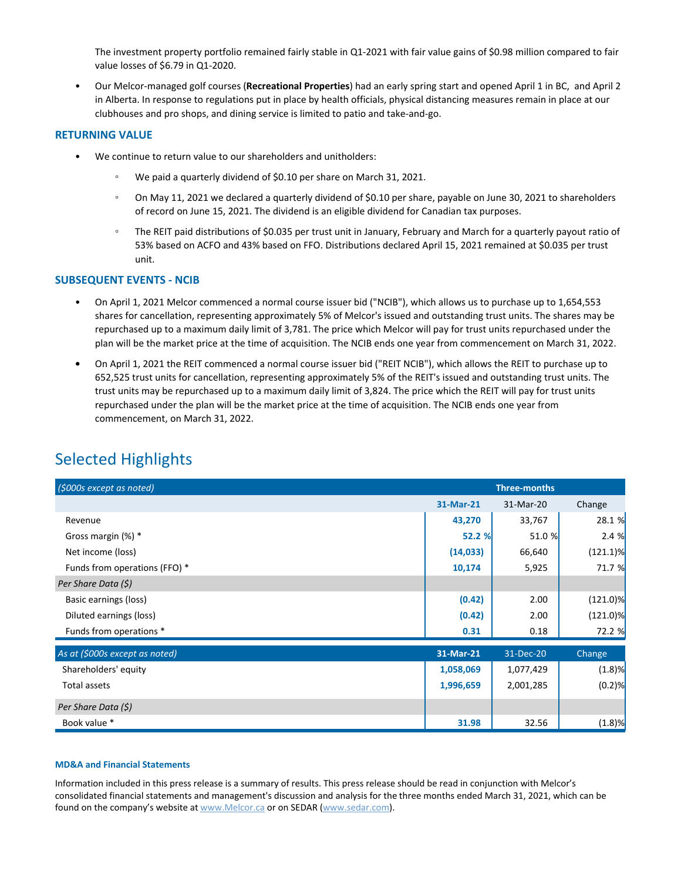The investment property portfolio remained fairly stable in Q1-2021 with fair value gains of \$0.98 million compared to fair value losses of \$6.79 in Q1-2020.

Our Melcor-managed golf courses (Recreational Properties) had an early spring start and opened April 1 in BC, and April 2 in Alberta. In response to regulations put in place by health officials, physical distancing measures remain in place at our clubhouses and pro shops, and dining service is limited to patio and take-and-go.

### **RETURNING VALUE**

- We continue to return value to our shareholders and unitholders:
	- We paid a quarterly dividend of \$0.10 per share on March 31, 2021.
	- On May 11, 2021 we declared a quarterly dividend of \$0.10 per share, payable on June 30, 2021 to shareholders of record on June 15, 2021. The dividend is an eligible dividend for Canadian tax purposes.
	- The REIT paid distributions of \$0.035 per trust unit in January, February and March for a quarterly payout ratio of 53% based on ACFO and 43% based on FFO. Distributions declared April 15, 2021 remained at \$0.035 per trust unit.

## **SUBSEQUENT EVENTS - NCIB**

- On April 1, 2021 Melcor commenced a normal course issuer bid ("NCIB"), which allows us to purchase up to 1,654,553 shares for cancellation, representing approximately 5% of Melcor's issued and outstanding trust units. The shares may be repurchased up to a maximum daily limit of 3,781. The price which Melcor will pay for trust units repurchased under the plan will be the market price at the time of acquisition. The NCIB ends one year from commencement on March 31, 2022.
- On April 1, 2021 the REIT commenced a normal course issuer bid ("REIT NCIB"), which allows the REIT to purchase up to 652,525 trust units for cancellation, representing approximately 5% of the REIT's issued and outstanding trust units. The trust units may be repurchased up to a maximum daily limit of 3,824. The price which the REIT will pay for trust units repurchased under the plan will be the market price at the time of acquisition. The NCIB ends one year from commencement, on March 31, 2022.

## **Selected Highlights**

| (\$000s except as noted)       | <b>Three-months</b> |           |             |
|--------------------------------|---------------------|-----------|-------------|
|                                | 31-Mar-21           | 31-Mar-20 | Change      |
| Revenue                        | 43,270              | 33,767    | 28.1 %      |
| Gross margin (%) *             | 52.2 %              | 51.0 %    | 2.4%        |
| Net income (loss)              | (14, 033)           | 66,640    | $(121.1)\%$ |
| Funds from operations (FFO) *  | 10,174              | 5,925     | 71.7 %      |
| Per Share Data (\$)            |                     |           |             |
| Basic earnings (loss)          | (0.42)              | 2.00      | $(121.0)\%$ |
| Diluted earnings (loss)        | (0.42)              | 2.00      | $(121.0)\%$ |
| Funds from operations *        | 0.31                | 0.18      | 72.2 %      |
| As at (\$000s except as noted) | 31-Mar-21           | 31-Dec-20 | Change      |
| Shareholders' equity           | 1,058,069           | 1,077,429 | $(1.8)$ %   |
| Total assets                   | 1,996,659           | 2,001,285 | $(0.2)$ %   |
| Per Share Data (\$)            |                     |           |             |
| Book value *                   | 31.98               | 32.56     | (1.8)%      |

### **MD&A and Financial Statements**

Information included in this press release is a summary of results. This press release should be read in conjunction with Melcor's consolidated financial statements and management's discussion and analysis for the three months ended March 31, 2021, which can be found on the company's website at www.Melcor.ca or on SEDAR (www.sedar.com).